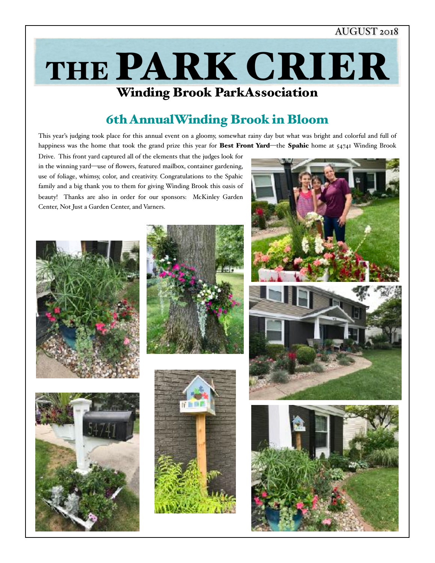## AUGUST 2018

# Winding Brook ParkAssociation THE PARK CRIER

## 6th AnnualWinding Brook in Bloom

This year's judging took place for this annual event on a gloomy, somewhat rainy day but what was bright and colorful and full of happiness was the home that took the grand prize this year for Best Front Yard—the Spahic home at 54741 Winding Brook

Drive. This front yard captured all of the elements that the judges look for in the winning yard—use of flowers, featured mailbox, container gardening, use of foliage, whimsy, color, and creativity. Congratulations to the Spahic family and a big thank you to them for giving Winding Brook this oasis of beauty! Thanks are also in order for our sponsors: McKinley Garden Center, Not Just a Garden Center, and Varners.













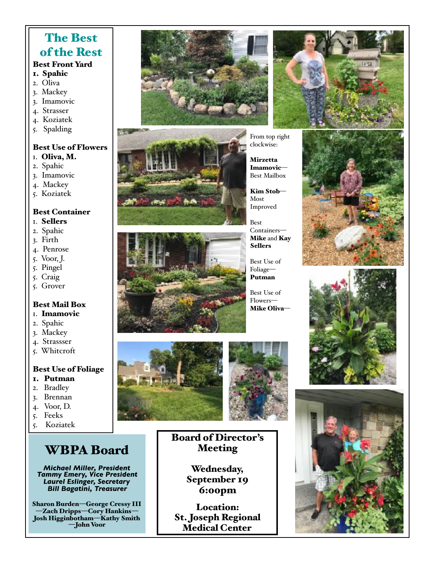## The Best of the Rest

## Best Front Yard

- 1. Spahic
- 2. Oliva
- 3. Mackey
- 3. Imamovic
- 4. Strasser
- 4. Koziatek
- 5. Spalding

#### Best Use of Flowers

- 1. Oliva, M.
- 2. Spahic
- 3. Imamovic
- 4. Mackey
- 5. Koziatek

#### Best Container

- 1. Sellers
- 2. Spahic
- 3. Firth
- 4. Penrose
- 5. Voor, J.
- 5. Pingel
- 5. Craig
- 5. Grover

#### Best Mail Box 1. Imamovic

- 
- 2. Spahic 3. Mackey
- 4. Strassser
- 
- 5. Whitcroft

#### Best Use of Foliage

- 1. Putman
- 2. Bradley
- 3. Brennan
- 4. Voor, D.
- 5. Feeks
- 5. Koziatek

# WBPA Board

*Michael Miller, President Tammy Emery, Vice President Laurel Eslinger, Secretary Bill Bagatini, Treasurer*

Sharon Burden—George Cressy III —Zach Dripps—Cory Hankins— Josh Higginbotham—Kathy Smith —John Voor









From top right clockwise:

Mirzetta Imamovic— Best Mailbox

Kim Stob— Most Improved

Best Containers— Mike and Kay Sellers

Best Use of Foliage— Putman

Best Use of Flowers— Mike Oliva—











## Board of Director's Meeting

Wednesday, September 19 6:00pm

Location: St. Joseph Regional Medical Center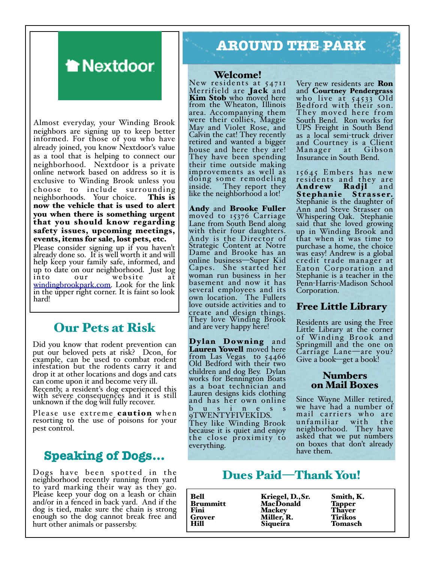# **A** Nextdoor

Almost everyday, your Winding Brook neighbors are signing up to keep better informed. For those of you who have already joined, you know Nextdoor's value as a tool that is helping to connect our neighborhood. Nextdoor is a private online network based on address so it is exclusive to Winding Brook unless you choose to include surrounding<br>neighborhoods. Your choice. This is neighborhoods. Your choice. now the vehicle that is used to alert you when there is something urgent that you should know regarding safety issues, upcoming meetings, events, items for sale, lost pets, etc. Please consider signing up if you haven't

already done so. It is well worth it and will help keep your family safe, informed, and up to date on our neighborhood. Just log website [windingbrookpark.com.](http://windingbrookpark.com) Look for the link in the upper right corner. It is faint so look hard!

## Our Pets at Risk

Did you know that rodent prevention can put our beloved pets at risk? Dcon, for example, can be used to combat rodent infestation but the rodents carry it and drop it at other locations and dogs and cats can come upon it and become very ill.

Recently, a resident's dog experienced this with severe consequences and it is still unknown if the dog will fully recover.

Please use extreme **caution** when resorting to the use of poisons for your pest control.

## **Speaking of Dogs…**

Dogs have been spotted in the neighborhood recently running from yard to yard marking their way as they go. Please keep your dog on a leash or chain and/or in a fenced in back yard. And if the dog is tied, make sure the chain is strong enough so the dog cannot break free and hurt other animals or passersby.

# **AROUND THE PARK**

#### Welcome!

New residents at 54711 Merrifield are **Jack** and Kim Stob who moved here from the Wheaton, Illinois area. Accompanying them were their collies, Maggie May and Violet Rose, and Calvin the cat! They recently retired and wanted a bigger house and here they are! They have been spending their time outside making improvements as well as doing some remodeling inside. They report they like the neighborhood a lot!

Andy and Brooke Fuller moved to 15376 Carriage Lane from South Bend along with their four daughters. Andy is the Director of Strategic Content at Notre Dame and Brooke has an online business—Super Kid Capes. She started her woman run business in her basement and now it has several employees and its own location. The Fullers love outside activities and to create and design things. They love Winding Brook and are very happy here!

Dylan Downing and Lauren Yowell moved here from Las Vegas to 54466 Old Bedford with their two children and dog Bey. Dylan works for Bennington Boats as a boat technician and Lauren designs kids clothing and has her own online  $b$  u s i n e s s 9TWENTYFIVEKIDS. They like Winding Brook because it is quiet and enjoy the close proximity to everything.

Very new residents are Ron and Courtney Pendergrass who live at 54533 Old Bedford with their son. They moved here from South Bend. Ron works for UPS Freight in South Bend as a local semi-truck driver and Courtney is a Client Manager Insurance in South Bend.

15645 Embers has new residents and they are Andrew Radjl and Stephanie Strasser. Stephanie is the daughter of Ann and Steve Strasser on Whispering Oak. Stephanie said that she loved growing up in Winding Brook and that when it was time to purchase a home, the choice was easy! Andrew is a global credit trade manager at Eaton Corporation and Stephanie is a teacher in the Penn-Harris-Madison School Corporation.

#### Free Little Library

Residents are using the Free Little Library at the corner of Winding Brook and Springmill and the one on Carriage Lane—are you? Give a book—get a book!

#### Numbers on Mail Boxes

Since Wayne Miller retired, we have had a number of mail carriers who are unfamiliar with the neighborhood. They have asked that we put numbers on boxes that don't already have them.

## Dues Paid—Thank You!

| <b>Bell</b><br><b>Brummitt</b><br>Fini<br>Grover<br><b>Hill</b> | Kriegel, D., Sr.<br>MacDonald<br><b>Mackey</b><br>Miller, R.<br>Siqueira | Smith, K.<br><b>Tapper</b><br>Thayer<br><b>Tirikos</b><br><b>Tomasch</b> |  |
|-----------------------------------------------------------------|--------------------------------------------------------------------------|--------------------------------------------------------------------------|--|
|                                                                 |                                                                          |                                                                          |  |